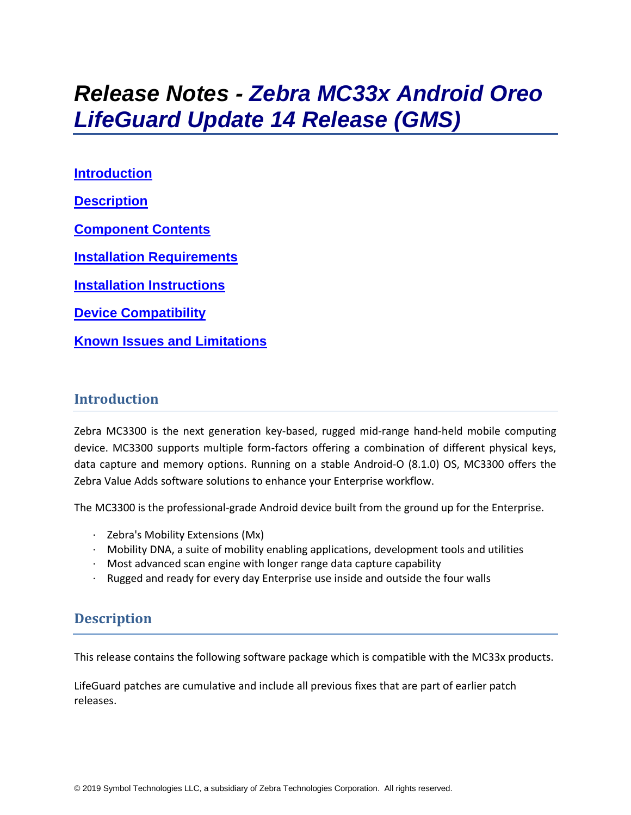# *Release Notes - Zebra MC33x Android Oreo LifeGuard Update 14 Release (GMS)*

**[Introduction](#page-0-0) [Description](#page-0-1) [Component Contents](#page-1-0) [Installation Requirements](#page-4-0) [Installation Instructions](#page-4-1) [Device Compatibility](#page-6-0) Known [Issues and Limitations](#page-8-0)**

### <span id="page-0-0"></span>**Introduction**

Zebra MC3300 is the next generation key-based, rugged mid-range hand-held mobile computing device. MC3300 supports multiple form-factors offering a combination of different physical keys, data capture and memory options. Running on a stable Android-O (8.1.0) OS, MC3300 offers the Zebra Value Adds software solutions to enhance your Enterprise workflow.

The MC3300 is the professional-grade Android device built from the ground up for the Enterprise.

- · Zebra's Mobility Extensions (Mx)
- $\cdot$  Mobility DNA, a suite of mobility enabling applications, development tools and utilities
- · Most advanced scan engine with longer range data capture capability
- <span id="page-0-1"></span>· Rugged and ready for every day Enterprise use inside and outside the four walls

## **Description**

This release contains the following software package which is compatible with the MC33x products.

LifeGuard patches are cumulative and include all previous fixes that are part of earlier patch releases.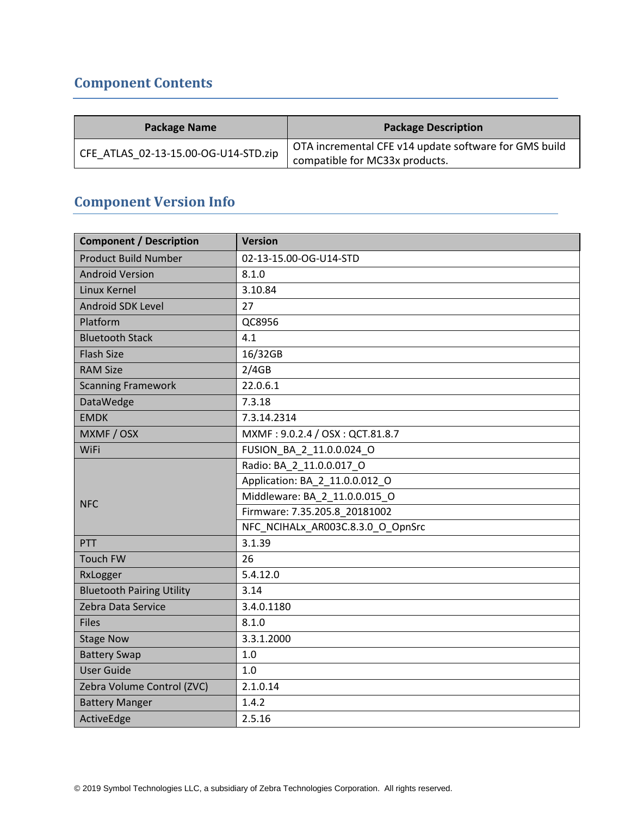## <span id="page-1-0"></span>**Component Contents**

| <b>Package Name</b>                  | <b>Package Description</b>                            |
|--------------------------------------|-------------------------------------------------------|
| CFE ATLAS 02-13-15.00-OG-U14-STD.zip | OTA incremental CFE v14 update software for GMS build |
|                                      | compatible for MC33x products.                        |

## **Component Version Info**

| <b>Component / Description</b>   | <b>Version</b>                    |
|----------------------------------|-----------------------------------|
| <b>Product Build Number</b>      | 02-13-15.00-OG-U14-STD            |
| <b>Android Version</b>           | 8.1.0                             |
| Linux Kernel                     | 3.10.84                           |
| <b>Android SDK Level</b>         | 27                                |
| Platform                         | QC8956                            |
| <b>Bluetooth Stack</b>           | 4.1                               |
| <b>Flash Size</b>                | 16/32GB                           |
| <b>RAM Size</b>                  | 2/4GB                             |
| <b>Scanning Framework</b>        | 22.0.6.1                          |
| DataWedge                        | 7.3.18                            |
| <b>EMDK</b>                      | 7.3.14.2314                       |
| MXMF / OSX                       | MXMF: 9.0.2.4 / OSX: QCT.81.8.7   |
| WiFi                             | FUSION_BA_2_11.0.0.024_O          |
|                                  | Radio: BA 2 11.0.0.017 O          |
|                                  | Application: BA_2_11.0.0.012 O    |
| <b>NFC</b>                       | Middleware: BA 2 11.0.0.015 O     |
|                                  | Firmware: 7.35.205.8 20181002     |
|                                  | NFC_NCIHALx_AR003C.8.3.0_O_OpnSrc |
| PTT                              | 3.1.39                            |
| <b>Touch FW</b>                  | 26                                |
| RxLogger                         | 5.4.12.0                          |
| <b>Bluetooth Pairing Utility</b> | 3.14                              |
| Zebra Data Service               | 3.4.0.1180                        |
| <b>Files</b>                     | 8.1.0                             |
| <b>Stage Now</b>                 | 3.3.1.2000                        |
| <b>Battery Swap</b>              | 1.0                               |
| <b>User Guide</b>                | 1.0                               |
| Zebra Volume Control (ZVC)       | 2.1.0.14                          |
| <b>Battery Manger</b>            | 1.4.2                             |
| ActiveEdge                       | 2.5.16                            |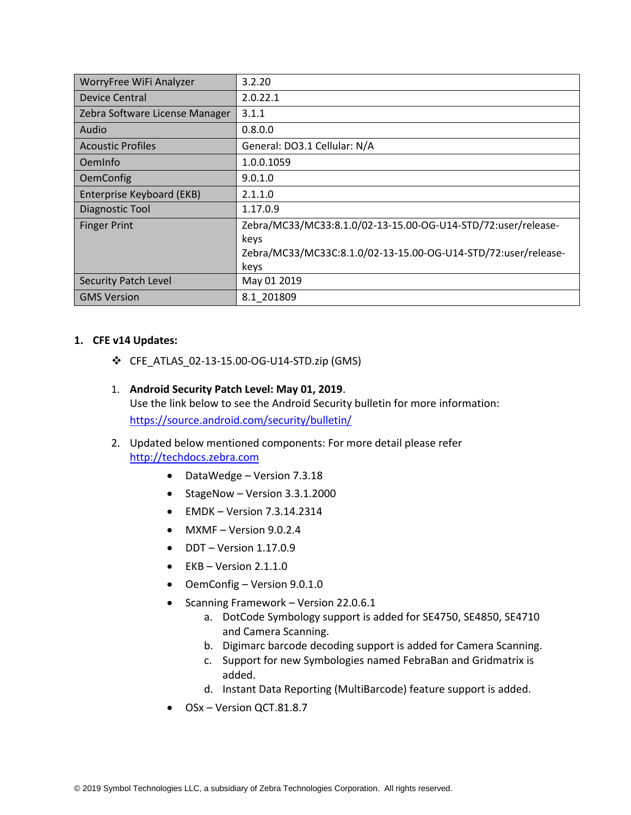| WorryFree WiFi Analyzer          | 3.2.20                                                         |
|----------------------------------|----------------------------------------------------------------|
| Device Central                   | 2.0.22.1                                                       |
| Zebra Software License Manager   | 3.1.1                                                          |
| Audio                            | 0.8.0.0                                                        |
| <b>Acoustic Profiles</b>         | General: DO3.1 Cellular: N/A                                   |
| OemInfo                          | 1.0.0.1059                                                     |
| <b>OemConfig</b>                 | 9.0.1.0                                                        |
| <b>Enterprise Keyboard (EKB)</b> | 2.1.1.0                                                        |
| Diagnostic Tool                  | 1.17.0.9                                                       |
| <b>Finger Print</b>              | Zebra/MC33/MC33:8.1.0/02-13-15.00-OG-U14-STD/72:user/release-  |
|                                  | keys                                                           |
|                                  | Zebra/MC33/MC33C:8.1.0/02-13-15.00-OG-U14-STD/72:user/release- |
|                                  | keys                                                           |
| <b>Security Patch Level</b>      | May 01 2019                                                    |
| <b>GMS Version</b>               | 8.1 201809                                                     |

#### **1. CFE v14 Updates:**

- ❖ CFE\_ATLAS\_02-13-15.00-OG-U14-STD.zip (GMS)
- 1. **Android Security Patch Level: May 01, 2019**. Use the link below to see the Android Security bulletin for more information: <https://source.android.com/security/bulletin/>
- 2. Updated below mentioned components: For more detail please refer [http://techdocs.zebra.com](http://techdocs.zebra.com/)
	- DataWedge Version 7.3.18
	- StageNow Version 3.3.1.2000
	- $\bullet$  EMDK Version 7.3.14.2314
	- MXMF Version 9.0.2.4
	- $\bullet$  DDT Version 1.17.0.9
	- $\bullet$  EKB Version 2.1.1.0
	- OemConfig Version 9.0.1.0
	- Scanning Framework Version 22.0.6.1
		- a. DotCode Symbology support is added for SE4750, SE4850, SE4710 and Camera Scanning.
		- b. Digimarc barcode decoding support is added for Camera Scanning.
		- c. Support for new Symbologies named FebraBan and Gridmatrix is added.
		- d. Instant Data Reporting (MultiBarcode) feature support is added.
	- OSx Version QCT.81.8.7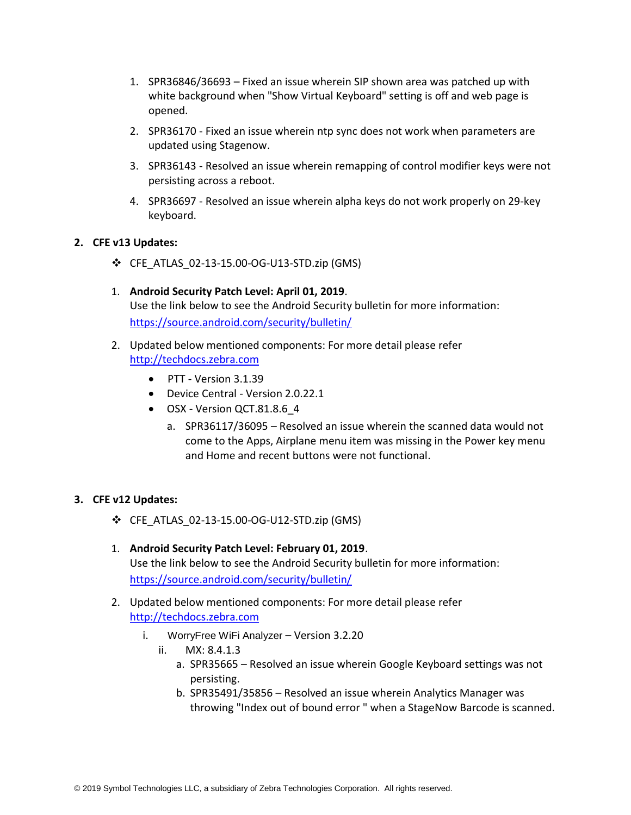- 1. SPR36846/36693 Fixed an issue wherein SIP shown area was patched up with white background when "Show Virtual Keyboard" setting is off and web page is opened.
- 2. SPR36170 Fixed an issue wherein ntp sync does not work when parameters are updated using Stagenow.
- 3. SPR36143 Resolved an issue wherein remapping of control modifier keys were not persisting across a reboot.
- 4. SPR36697 Resolved an issue wherein alpha keys do not work properly on 29-key keyboard.

#### **2. CFE v13 Updates:**

- ❖ CFE\_ATLAS\_02-13-15.00-OG-U13-STD.zip (GMS)
- 1. **Android Security Patch Level: April 01, 2019**. Use the link below to see the Android Security bulletin for more information: <https://source.android.com/security/bulletin/>
- 2. Updated below mentioned components: For more detail please refer [http://techdocs.zebra.com](http://techdocs.zebra.com/)
	- PTT Version 3.1.39
	- Device Central Version 2.0.22.1
	- OSX Version QCT.81.8.6 4
		- a. SPR36117/36095 Resolved an issue wherein the scanned data would not come to the Apps, Airplane menu item was missing in the Power key menu and Home and recent buttons were not functional.

#### **3. CFE v12 Updates:**

- ❖ CFE\_ATLAS\_02-13-15.00-OG-U12-STD.zip (GMS)
- 1. **Android Security Patch Level: February 01, 2019**. Use the link below to see the Android Security bulletin for more information: <https://source.android.com/security/bulletin/>
- 2. Updated below mentioned components: For more detail please refer [http://techdocs.zebra.com](http://techdocs.zebra.com/)
	- i. WorryFree WiFi Analyzer Version 3.2.20
		- ii. MX: 8.4.1.3
			- a. SPR35665 Resolved an issue wherein Google Keyboard settings was not persisting.
			- b. SPR35491/35856 Resolved an issue wherein Analytics Manager was throwing "Index out of bound error " when a StageNow Barcode is scanned.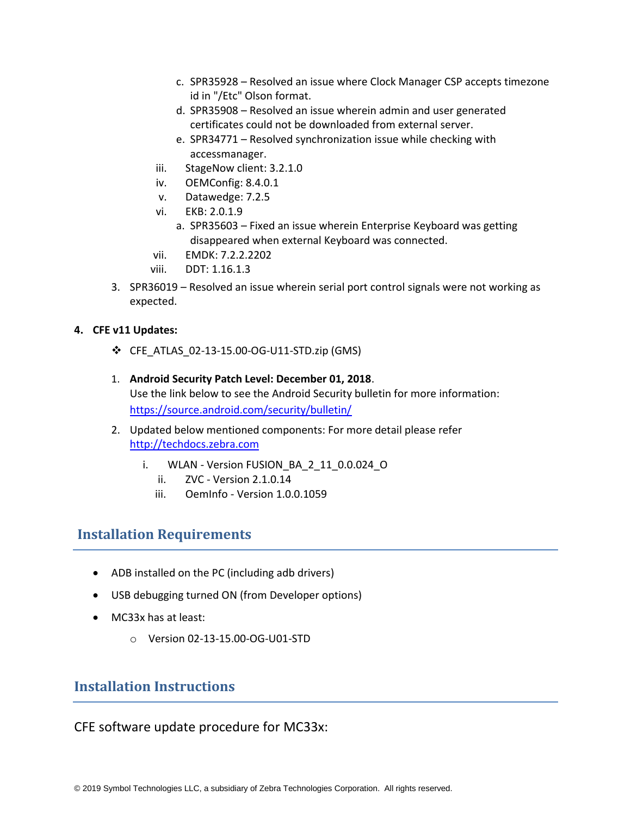- c. SPR35928 Resolved an issue where Clock Manager CSP accepts timezone id in "/Etc" Olson format.
- d. SPR35908 Resolved an issue wherein admin and user generated certificates could not be downloaded from external server.
- e. SPR34771 Resolved synchronization issue while checking with accessmanager.
- iii. StageNow client: 3.2.1.0
- iv. OEMConfig: 8.4.0.1
- v. Datawedge: 7.2.5
- vi. EKB: 2.0.1.9
	- a. SPR35603 Fixed an issue wherein Enterprise Keyboard was getting disappeared when external Keyboard was connected.
- vii. EMDK: 7.2.2.2202
- viii. DDT: 1.16.1.3
- 3. SPR36019 Resolved an issue wherein serial port control signals were not working as expected.

#### **4. CFE v11 Updates:**

- ❖ CFE\_ATLAS\_02-13-15.00-OG-U11-STD.zip (GMS)
- 1. **Android Security Patch Level: December 01, 2018**. Use the link below to see the Android Security bulletin for more information: <https://source.android.com/security/bulletin/>
- 2. Updated below mentioned components: For more detail please refer [http://techdocs.zebra.com](http://techdocs.zebra.com/)
	- i. WLAN Version FUSION BA 2 11 0.0.024 O
		- ii. ZVC Version 2.1.0.14
		- iii. OemInfo Version 1.0.0.1059

## <span id="page-4-0"></span>**Installation Requirements**

- ADB installed on the PC (including adb drivers)
- USB debugging turned ON (from Developer options)
- MC33x has at least:
	- o Version 02-13-15.00-OG-U01-STD

## <span id="page-4-1"></span>**Installation Instructions**

CFE software update procedure for MC33x: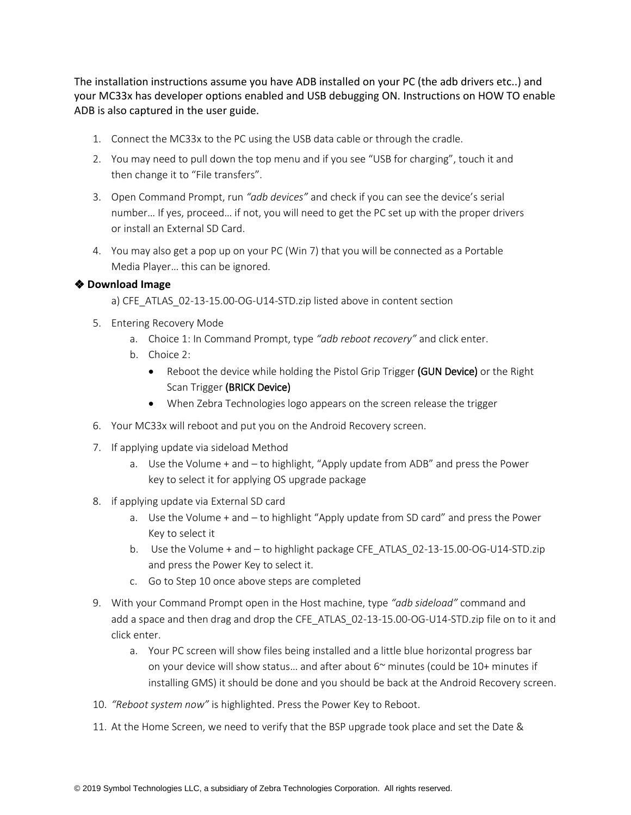The installation instructions assume you have ADB installed on your PC (the adb drivers etc..) and your MC33x has developer options enabled and USB debugging ON. Instructions on HOW TO enable ADB is also captured in the user guide.

- 1. Connect the MC33x to the PC using the USB data cable or through the cradle.
- 2. You may need to pull down the top menu and if you see "USB for charging", touch it and then change it to "File transfers".
- 3. Open Command Prompt, run *"adb devices"* and check if you can see the device's serial number… If yes, proceed… if not, you will need to get the PC set up with the proper drivers or install an External SD Card.
- 4. You may also get a pop up on your PC (Win 7) that you will be connected as a Portable Media Player… this can be ignored.

#### ❖ **Download Image**

a) CFE\_ATLAS\_02-13-15.00-OG-U14-STD.zip listed above in content section

- 5. Entering Recovery Mode
	- a. Choice 1: In Command Prompt, type *"adb reboot recovery"* and click enter.
	- b. Choice 2:
		- Reboot the device while holding the Pistol Grip Trigger (GUN Device) or the Right Scan Trigger (BRICK Device)
		- When Zebra Technologies logo appears on the screen release the trigger
- 6. Your MC33x will reboot and put you on the Android Recovery screen.
- 7. If applying update via sideload Method
	- a. Use the Volume + and to highlight, "Apply update from ADB" and press the Power key to select it for applying OS upgrade package
- 8. if applying update via External SD card
	- a. Use the Volume + and to highlight "Apply update from SD card" and press the Power Key to select it
	- b. Use the Volume + and to highlight package CFE\_ATLAS\_02-13-15.00-OG-U14-STD.zip and press the Power Key to select it.
	- c. Go to Step 10 once above steps are completed
- 9. With your Command Prompt open in the Host machine, type *"adb sideload"* command and add a space and then drag and drop the CFE\_ATLAS\_02-13-15.00-OG-U14-STD.zip file on to it and click enter.
	- a. Your PC screen will show files being installed and a little blue horizontal progress bar on your device will show status... and after about 6~ minutes (could be 10+ minutes if installing GMS) it should be done and you should be back at the Android Recovery screen.
- 10. *"Reboot system now"* is highlighted. Press the Power Key to Reboot.
- 11. At the Home Screen, we need to verify that the BSP upgrade took place and set the Date &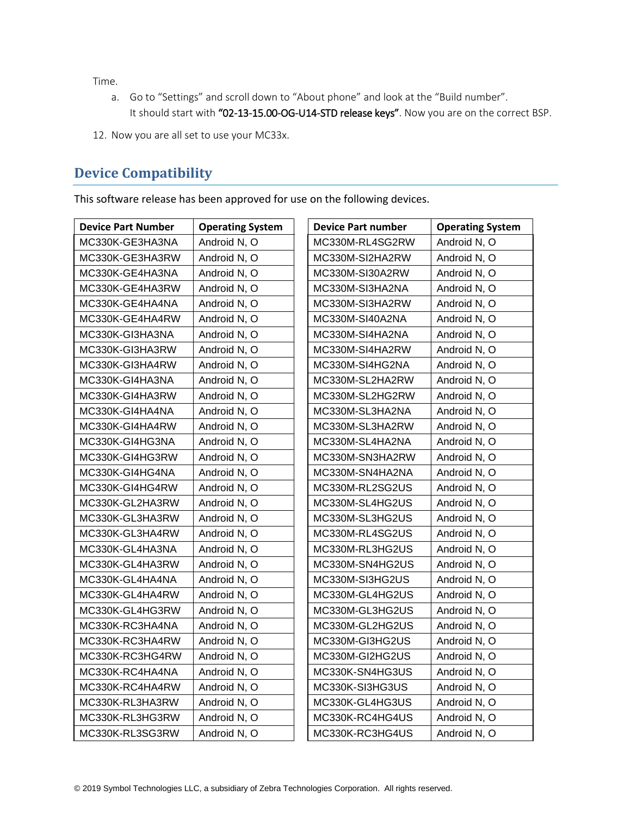Time.

- a. Go to "Settings" and scroll down to "About phone" and look at the "Build number". It should start with "02-13-15.00-OG-U14-STD release keys". Now you are on the correct BSP.
- 12. Now you are all set to use your MC33x.

## <span id="page-6-0"></span>**Device Compatibility**

This software release has been approved for use on the following devices.

| <b>Device Part Number</b> | <b>Operating System</b> | <b>Device Part number</b> | <b>Operating System</b> |
|---------------------------|-------------------------|---------------------------|-------------------------|
| MC330K-GE3HA3NA           | Android N, O            | MC330M-RL4SG2RW           | Android N, O            |
| MC330K-GE3HA3RW           | Android N, O            | MC330M-SI2HA2RW           | Android N, O            |
| MC330K-GE4HA3NA           | Android N, O            | MC330M-SI30A2RW           | Android N, O            |
| MC330K-GE4HA3RW           | Android N, O            | MC330M-SI3HA2NA           | Android N, O            |
| MC330K-GE4HA4NA           | Android N, O            | MC330M-SI3HA2RW           | Android N, O            |
| MC330K-GE4HA4RW           | Android N, O            | MC330M-SI40A2NA           | Android N, O            |
| MC330K-GI3HA3NA           | Android N, O            | MC330M-SI4HA2NA           | Android N, O            |
| MC330K-GI3HA3RW           | Android N, O            | MC330M-SI4HA2RW           | Android N, O            |
| MC330K-GI3HA4RW           | Android N, O            | MC330M-SI4HG2NA           | Android N, O            |
| MC330K-GI4HA3NA           | Android N, O            | MC330M-SL2HA2RW           | Android N, O            |
| MC330K-GI4HA3RW           | Android N, O            | MC330M-SL2HG2RW           | Android N, O            |
| MC330K-GI4HA4NA           | Android N, O            | MC330M-SL3HA2NA           | Android N, O            |
| MC330K-GI4HA4RW           | Android N, O            | MC330M-SL3HA2RW           | Android N, O            |
| MC330K-GI4HG3NA           | Android N, O            | MC330M-SL4HA2NA           | Android N, O            |
| MC330K-GI4HG3RW           | Android N, O            | MC330M-SN3HA2RW           | Android N, O            |
| MC330K-GI4HG4NA           | Android N, O            | MC330M-SN4HA2NA           | Android N, O            |
| MC330K-GI4HG4RW           | Android N, O            | MC330M-RL2SG2US           | Android N, O            |
| MC330K-GL2HA3RW           | Android N, O            | MC330M-SL4HG2US           | Android N, O            |
| MC330K-GL3HA3RW           | Android N, O            | MC330M-SL3HG2US           | Android N, O            |
| MC330K-GL3HA4RW           | Android N, O            | MC330M-RL4SG2US           | Android N, O            |
| MC330K-GL4HA3NA           | Android N, O            | MC330M-RL3HG2US           | Android N, O            |
| MC330K-GL4HA3RW           | Android N, O            | MC330M-SN4HG2US           | Android N, O            |
| MC330K-GL4HA4NA           | Android N, O            | MC330M-SI3HG2US           | Android N, O            |
| MC330K-GL4HA4RW           | Android N, O            | MC330M-GL4HG2US           | Android N, O            |
| MC330K-GL4HG3RW           | Android N, O            | MC330M-GL3HG2US           | Android N, O            |
| MC330K-RC3HA4NA           | Android N, O            | MC330M-GL2HG2US           | Android N, O            |
| MC330K-RC3HA4RW           | Android N, O            | MC330M-GI3HG2US           | Android N, O            |
| MC330K-RC3HG4RW           | Android N, O            | MC330M-GI2HG2US           | Android N, O            |
| MC330K-RC4HA4NA           | Android N, O            | MC330K-SN4HG3US           | Android N, O            |
| MC330K-RC4HA4RW           | Android N, O            | MC330K-SI3HG3US           | Android N, O            |
| MC330K-RL3HA3RW           | Android N, O            | MC330K-GL4HG3US           | Android N, O            |
| MC330K-RL3HG3RW           | Android N, O            | MC330K-RC4HG4US           | Android N, O            |
| MC330K-RL3SG3RW           | Android N, O            | MC330K-RC3HG4US           | Android N, O            |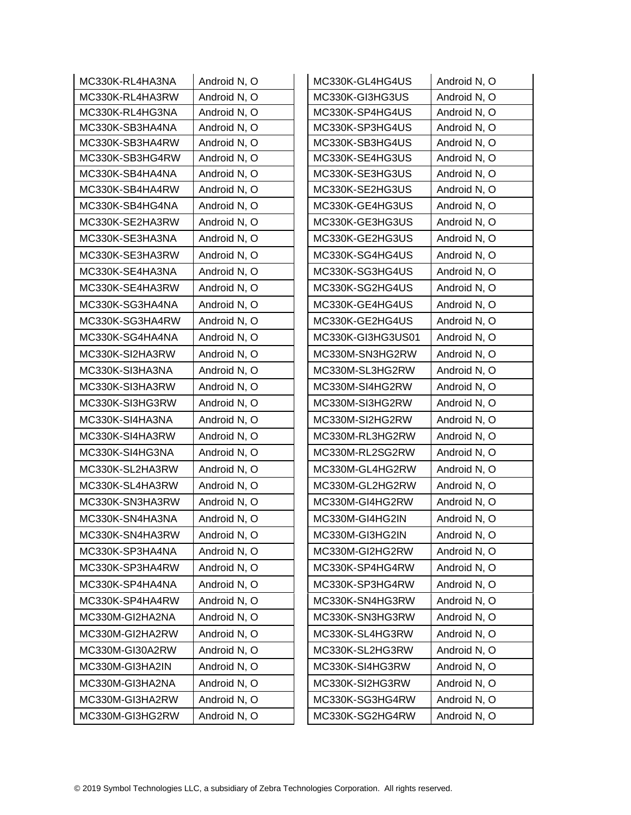| MC330K-RL4HA3NA | Android N, O | MC330K-GL4HG4US   | Android N, O |
|-----------------|--------------|-------------------|--------------|
| MC330K-RL4HA3RW | Android N, O | MC330K-GI3HG3US   | Android N, O |
| MC330K-RL4HG3NA | Android N, O | MC330K-SP4HG4US   | Android N, O |
| MC330K-SB3HA4NA | Android N, O | MC330K-SP3HG4US   | Android N, O |
| MC330K-SB3HA4RW | Android N, O | MC330K-SB3HG4US   | Android N, O |
| MC330K-SB3HG4RW | Android N, O | MC330K-SE4HG3US   | Android N, O |
| MC330K-SB4HA4NA | Android N, O | MC330K-SE3HG3US   | Android N, O |
| MC330K-SB4HA4RW | Android N, O | MC330K-SE2HG3US   | Android N, O |
| MC330K-SB4HG4NA | Android N, O | MC330K-GE4HG3US   | Android N, O |
| MC330K-SE2HA3RW | Android N, O | MC330K-GE3HG3US   | Android N, O |
| MC330K-SE3HA3NA | Android N, O | MC330K-GE2HG3US   | Android N, O |
| MC330K-SE3HA3RW | Android N, O | MC330K-SG4HG4US   | Android N, O |
| MC330K-SE4HA3NA | Android N, O | MC330K-SG3HG4US   | Android N, O |
| MC330K-SE4HA3RW | Android N, O | MC330K-SG2HG4US   | Android N, O |
| MC330K-SG3HA4NA | Android N, O | MC330K-GE4HG4US   | Android N, O |
| MC330K-SG3HA4RW | Android N, O | MC330K-GE2HG4US   | Android N, O |
| MC330K-SG4HA4NA | Android N, O | MC330K-GI3HG3US01 | Android N, O |
| MC330K-SI2HA3RW | Android N, O | MC330M-SN3HG2RW   | Android N, O |
| MC330K-SI3HA3NA | Android N, O | MC330M-SL3HG2RW   | Android N, O |
| MC330K-SI3HA3RW | Android N, O | MC330M-SI4HG2RW   | Android N, O |
| MC330K-SI3HG3RW | Android N, O | MC330M-SI3HG2RW   | Android N, O |
| MC330K-SI4HA3NA | Android N, O | MC330M-SI2HG2RW   | Android N, O |
| MC330K-SI4HA3RW | Android N, O | MC330M-RL3HG2RW   | Android N, O |
| MC330K-SI4HG3NA | Android N, O | MC330M-RL2SG2RW   | Android N, O |
| MC330K-SL2HA3RW | Android N, O | MC330M-GL4HG2RW   | Android N, O |
| MC330K-SL4HA3RW | Android N, O | MC330M-GL2HG2RW   | Android N, O |
| MC330K-SN3HA3RW | Android N, O | MC330M-GI4HG2RW   | Android N, O |
| MC330K-SN4HA3NA | Android N, O | MC330M-GI4HG2IN   | Android N, O |
| MC330K-SN4HA3RW | Android N, O | MC330M-GI3HG2IN   | Android N, O |
| MC330K-SP3HA4NA | Android N, O | MC330M-GI2HG2RW   | Android N, O |
| MC330K-SP3HA4RW | Android N, O | MC330K-SP4HG4RW   | Android N, O |
| MC330K-SP4HA4NA | Android N, O | MC330K-SP3HG4RW   | Android N, O |
| MC330K-SP4HA4RW | Android N, O | MC330K-SN4HG3RW   | Android N, O |
| MC330M-GI2HA2NA | Android N, O | MC330K-SN3HG3RW   | Android N, O |
| MC330M-GI2HA2RW | Android N, O | MC330K-SL4HG3RW   | Android N, O |
| MC330M-GI30A2RW | Android N, O | MC330K-SL2HG3RW   | Android N, O |
| MC330M-GI3HA2IN | Android N, O | MC330K-SI4HG3RW   | Android N, O |
| MC330M-GI3HA2NA | Android N, O | MC330K-SI2HG3RW   | Android N, O |
| MC330M-GI3HA2RW | Android N, O | MC330K-SG3HG4RW   | Android N, O |
| MC330M-GI3HG2RW | Android N, O | MC330K-SG2HG4RW   | Android N, O |